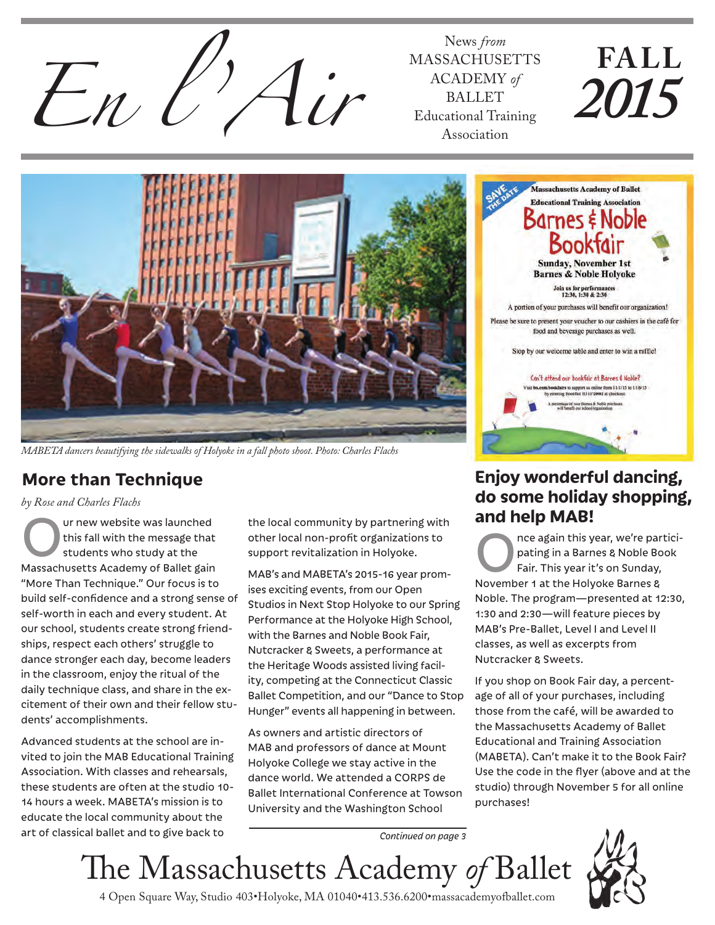

MASSACHUSETTS ACADEMY *of* BALLET Educational Training Association

# **FALL** *2015*



*MABETA dancers beautifying the sidewalks of Holyoke in a fall photo shoot. Photo: Charles Flachs*

## **More than Technique**

*by Rose and Charles Flachs*

Our new website was launched<br>
this fall with the message that<br>
students who study at the<br>
Massage business and and study at the this fall with the message that Massachusetts Academy of Ballet gain "More Than Technique." Our focus is to build self-confidence and a strong sense of self-worth in each and every student. At our school, students create strong friendships, respect each others' struggle to dance stronger each day, become leaders in the classroom, enjoy the ritual of the daily technique class, and share in the excitement of their own and their fellow students' accomplishments.

Advanced students at the school are invited to join the MAB Educational Training Association. With classes and rehearsals, these students are often at the studio 10- 14 hours a week. MABETA's mission is to educate the local community about the art of classical ballet and to give back to

the local community by partnering with other local non-profit organizations to support revitalization in Holyoke.

MAB's and MABETA's 2015-16 year promises exciting events, from our Open Studios in Next Stop Holyoke to our Spring Performance at the Holyoke High School, with the Barnes and Noble Book Fair, Nutcracker & Sweets, a performance at the Heritage Woods assisted living facility, competing at the Connecticut Classic Ballet Competition, and our "Dance to Stop Hunger" events all happening in between.

As owners and artistic directors of MAB and professors of dance at Mount Holyoke College we stay active in the dance world. We attended a CORPS de Ballet International Conference at Towson University and the Washington School



## **Enjoy wonderful dancing, do some holiday shopping, and help MAB!**

The again this year, we're partici-<br>pating in a Barnes & Noble Book<br>Fair. This year it's on Sunday, pating in a Barnes & Noble Book Fair. This year it's on Sunday, November 1 at the Holyoke Barnes & Noble. The program—presented at 12:30, 1:30 and 2:30—will feature pieces by MAB's Pre-Ballet, Level I and Level II classes, as well as excerpts from Nutcracker & Sweets.

If you shop on Book Fair day, a percentage of all of your purchases, including those from the café, will be awarded to the Massachusetts Academy of Ballet Educational and Training Association (MABETA). Can't make it to the Book Fair? Use the code in the flyer (above and at the studio) through November 5 for all online purchases!

*Continued on page 3*

The Massachusetts Academy *of* Ballet



4 Open Square Way, Studio 403•Holyoke, MA 01040•413.536.6200•massacademyofballet.com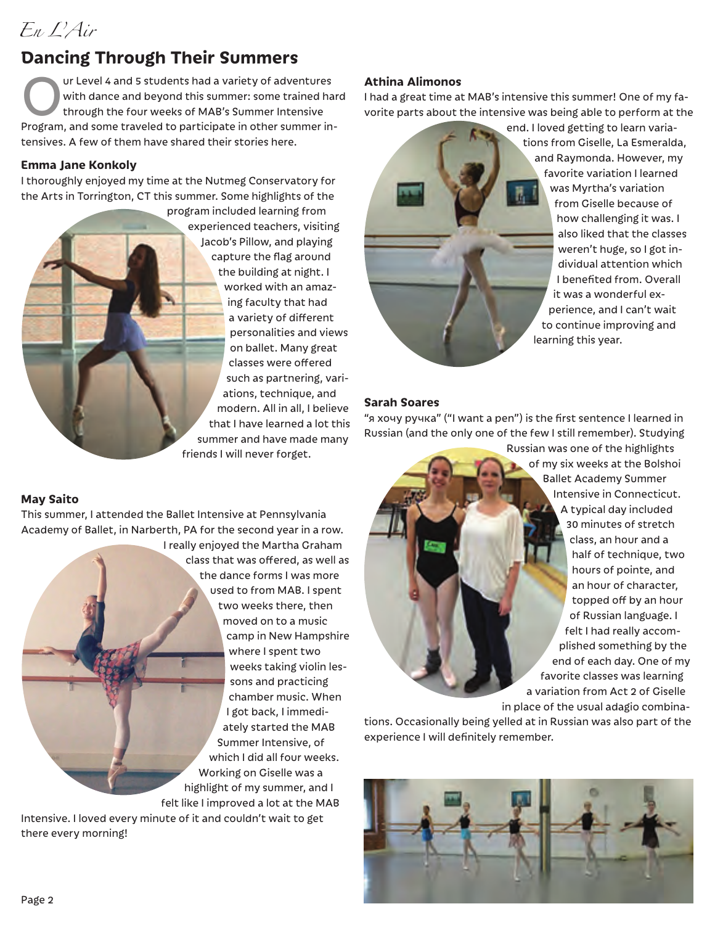## **Dancing Through Their Summers**

Our Level 4 and 5 students had a variety of adventures<br>
with dance and beyond this summer: some trained has<br>
through the four weeks of MAB's Summer Intensive<br>
Profsam, and some traveled to participate in other summer in with dance and beyond this summer: some trained hard Program, and some traveled to participate in other summer intensives. A few of them have shared their stories here.

#### **Emma Jane Konkoly**

I thoroughly enjoyed my time at the Nutmeg Conservatory for the Arts in Torrington, CT this summer. Some highlights of the

> program included learning from experienced teachers, visiting Jacob's Pillow, and playing capture the flag around the building at night. I worked with an amazing faculty that had a variety of different personalities and views on ballet. Many great classes were offered such as partnering, variations, technique, and modern. All in all, I believe that I have learned a lot this summer and have made many friends I will never forget.

**May Saito**

This summer, I attended the Ballet Intensive at Pennsylvania Academy of Ballet, in Narberth, PA for the second year in a row.

I really enjoyed the Martha Graham class that was offered, as well as the dance forms I was more used to from MAB. I spent two weeks there, then moved on to a music camp in New Hampshire where I spent two weeks taking violin lessons and practicing chamber music. When I got back, I immediately started the MAB Summer Intensive, of which I did all four weeks. Working on Giselle was a highlight of my summer, and I felt like I improved a lot at the MAB

Intensive. I loved every minute of it and couldn't wait to get there every morning!

#### **Athina Alimonos**

I had a great time at MAB's intensive this summer! One of my favorite parts about the intensive was being able to perform at the

> end. I loved getting to learn variations from Giselle, La Esmeralda, and Raymonda. However, my favorite variation I learned was Myrtha's variation from Giselle because of how challenging it was. I also liked that the classes weren't huge, so I got individual attention which I benefited from. Overall it was a wonderful experience, and I can't wait to continue improving and learning this year.

#### **Sarah Soares**

"я хочу ручка" ("I want a pen") is the first sentence I learned in Russian (and the only one of the few I still remember). Studying

> Russian was one of the highlights of my six weeks at the Bolshoi Ballet Academy Summer Intensive in Connecticut. A typical day included 30 minutes of stretch class, an hour and a half of technique, two hours of pointe, and an hour of character, topped off by an hour of Russian language. I felt I had really accomplished something by the end of each day. One of my favorite classes was learning a variation from Act 2 of Giselle in place of the usual adagio combina-

tions. Occasionally being yelled at in Russian was also part of the experience I will definitely remember.

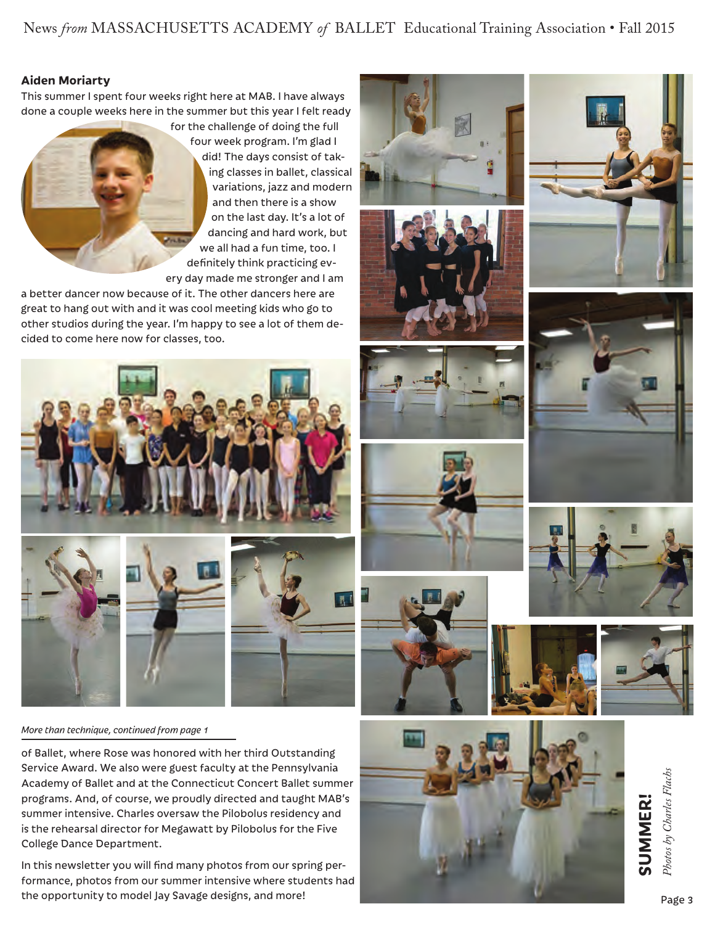News *from* MASSACHUSETTS ACADEMY *of* BALLET Educational Training Association • Fall 2015

#### **Aiden Moriarty**

This summer I spent four weeks right here at MAB. I have always done a couple weeks here in the summer but this year I felt ready

> for the challenge of doing the full four week program. I'm glad I did! The days consist of taking classes in ballet, classical variations, jazz and modern and then there is a show on the last day. It's a lot of dancing and hard work, but we all had a fun time, too. I definitely think practicing every day made me stronger and I am

a better dancer now because of it. The other dancers here are great to hang out with and it was cool meeting kids who go to other studios during the year. I'm happy to see a lot of them decided to come here now for classes, too.



*More than technique, continued from page 1*

of Ballet, where Rose was honored with her third Outstanding Service Award. We also were guest faculty at the Pennsylvania Academy of Ballet and at the Connecticut Concert Ballet summer programs. And, of course, we proudly directed and taught MAB's summer intensive. Charles oversaw the Pilobolus residency and is the rehearsal director for Megawatt by Pilobolus for the Five College Dance Department.

In this newsletter you will find many photos from our spring performance, photos from our summer intensive where students had the opportunity to model Jay Savage designs, and more!

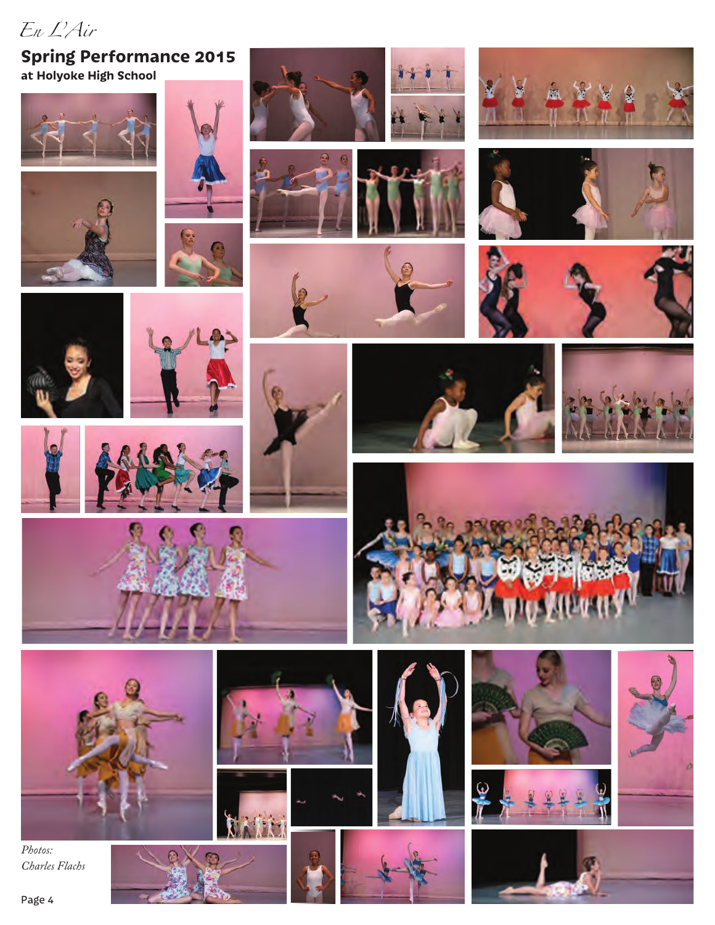*En L'Air*

## **Spring Performance 2015 at Holyoke High School**

























*Photos: Charles Flachs*



瘤

O











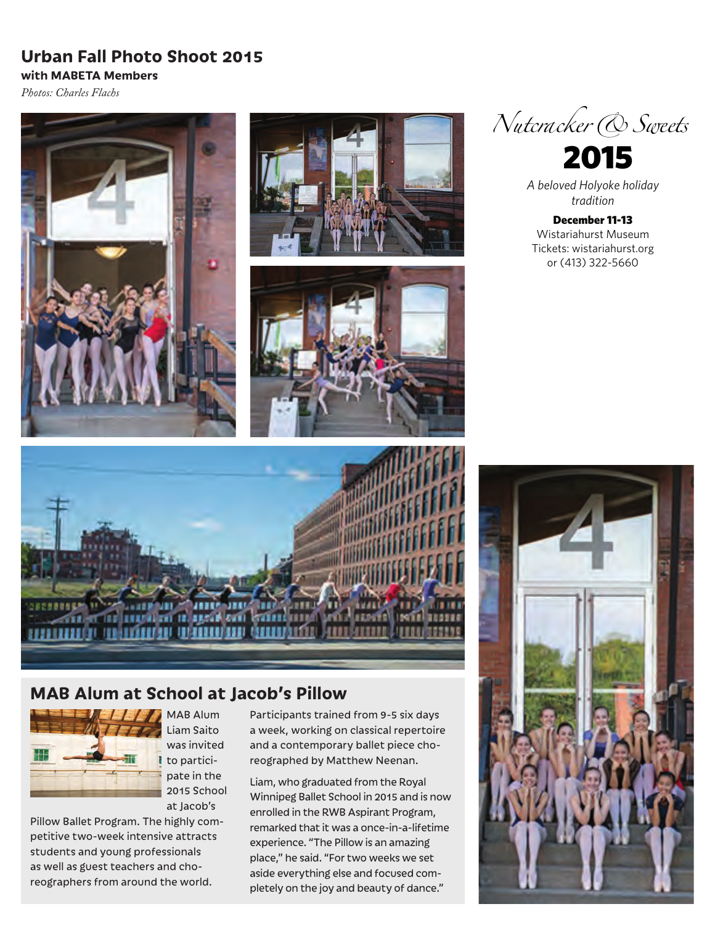## **Urban Fall Photo Shoot 2015**

*Photos: Charles Flachs*

**with MABETA Members**









*A beloved Holyoke holiday tradition*

December 11-13 Wistariahurst Museum Tickets: wistariahurst.org or (413) 322-5660



## **MAB Alum at School at Jacob's Pillow**



**MAB Alum** Liam Saito was invited to participate in the 2015 School at Jacob's

Pillow Ballet Program. The highly competitive two-week intensive attracts students and young professionals as well as guest teachers and choreographers from around the world.

Participants trained from 9-5 six days a week, working on classical repertoire and a contemporary ballet piece choreographed by Matthew Neenan.

Liam, who graduated from the Royal Winnipeg Ballet School in 2015 and is now enrolled in the RWB Aspirant Program, remarked that it was a once-in-a-lifetime experience. "The Pillow is an amazing place," he said. "For two weeks we set aside everything else and focused completely on the joy and beauty of dance."